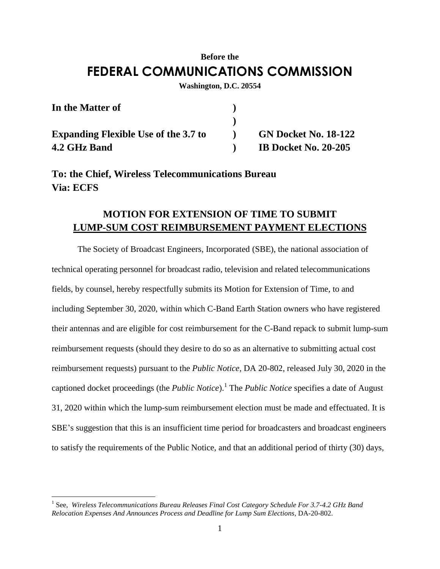## **Before the FEDERAL COMMUNICATIONS COMMISSION**

**Washington, D.C. 20554**

| In the Matter of                            |                             |
|---------------------------------------------|-----------------------------|
|                                             |                             |
| <b>Expanding Flexible Use of the 3.7 to</b> | <b>GN Docket No. 18-122</b> |
| 4.2 GHz Band                                | <b>IB Docket No. 20-205</b> |

**To: the Chief, Wireless Telecommunications Bureau Via: ECFS**

## **MOTION FOR EXTENSION OF TIME TO SUBMIT LUMP-SUM COST REIMBURSEMENT PAYMENT ELECTIONS**

The Society of Broadcast Engineers, Incorporated (SBE), the national association of technical operating personnel for broadcast radio, television and related telecommunications fields, by counsel, hereby respectfully submits its Motion for Extension of Time, to and including September 30, 2020, within which C-Band Earth Station owners who have registered their antennas and are eligible for cost reimbursement for the C-Band repack to submit lump-sum reimbursement requests (should they desire to do so as an alternative to submitting actual cost reimbursement requests) pursuant to the *Public Notice,* DA 20-802, released July 30, 2020 in the captioned docket proceedings (the *Public Notice*).<sup>1</sup> The *Public Notice* specifies a date of August 31, 2020 within which the lump-sum reimbursement election must be made and effectuated. It is SBE's suggestion that this is an insufficient time period for broadcasters and broadcast engineers to satisfy the requirements of the Public Notice, and that an additional period of thirty (30) days,

 $\overline{a}$ 

<sup>&</sup>lt;sup>1</sup> See, *Wireless Telecommunications Bureau Releases Final Cost Category Schedule For 3.7-4.2 GHz Band Relocation Expenses And Announces Process and Deadline for Lump Sum Elections,* DA-20-802.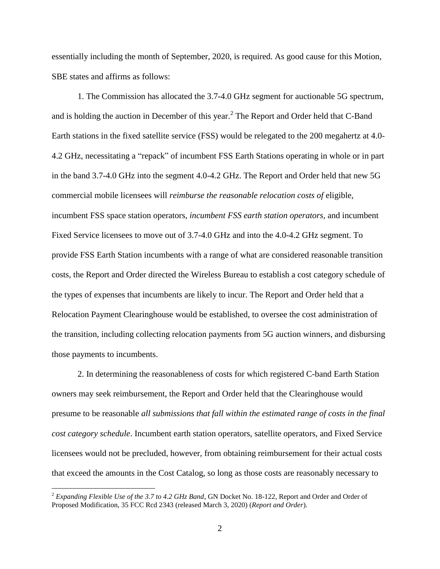essentially including the month of September, 2020, is required. As good cause for this Motion, SBE states and affirms as follows:

1. The Commission has allocated the 3.7-4.0 GHz segment for auctionable 5G spectrum, and is holding the auction in December of this year.<sup>2</sup> The Report and Order held that C-Band Earth stations in the fixed satellite service (FSS) would be relegated to the 200 megahertz at 4.0- 4.2 GHz, necessitating a "repack" of incumbent FSS Earth Stations operating in whole or in part in the band 3.7-4.0 GHz into the segment 4.0-4.2 GHz. The Report and Order held that new 5G commercial mobile licensees will *reimburse the reasonable relocation costs of* eligible, incumbent FSS space station operators, *incumbent FSS earth station operators,* and incumbent Fixed Service licensees to move out of 3.7-4.0 GHz and into the 4.0-4.2 GHz segment. To provide FSS Earth Station incumbents with a range of what are considered reasonable transition costs, the Report and Order directed the Wireless Bureau to establish a cost category schedule of the types of expenses that incumbents are likely to incur. The Report and Order held that a Relocation Payment Clearinghouse would be established, to oversee the cost administration of the transition, including collecting relocation payments from 5G auction winners, and disbursing those payments to incumbents.

2. In determining the reasonableness of costs for which registered C-band Earth Station owners may seek reimbursement, the Report and Order held that the Clearinghouse would presume to be reasonable *all submissions that fall within the estimated range of costs in the final cost category schedule*. Incumbent earth station operators, satellite operators, and Fixed Service licensees would not be precluded, however, from obtaining reimbursement for their actual costs that exceed the amounts in the Cost Catalog, so long as those costs are reasonably necessary to

 $\overline{a}$ 

<sup>2</sup> *Expanding Flexible Use of the 3.7 to 4.2 GHz Band*, GN Docket No. 18-122, Report and Order and Order of Proposed Modification, 35 FCC Rcd 2343 (released March 3, 2020) (*Report and Order*).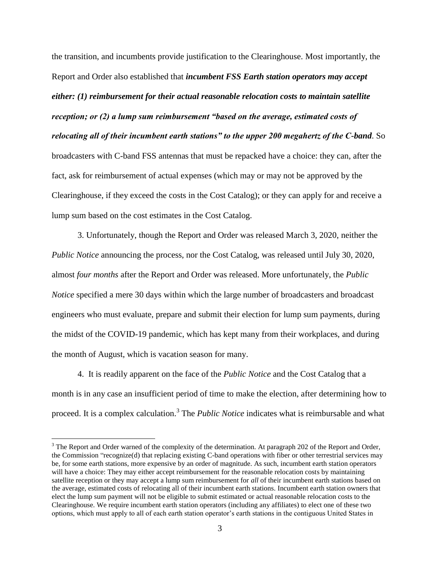the transition, and incumbents provide justification to the Clearinghouse. Most importantly, the Report and Order also established that *incumbent FSS Earth station operators may accept either: (1) reimbursement for their actual reasonable relocation costs to maintain satellite reception; or (2) a lump sum reimbursement "based on the average, estimated costs of relocating all of their incumbent earth stations" to the upper 200 megahertz of the C-band*. So broadcasters with C-band FSS antennas that must be repacked have a choice: they can, after the fact, ask for reimbursement of actual expenses (which may or may not be approved by the Clearinghouse, if they exceed the costs in the Cost Catalog); or they can apply for and receive a lump sum based on the cost estimates in the Cost Catalog.

3. Unfortunately, though the Report and Order was released March 3, 2020, neither the *Public Notice* announcing the process, nor the Cost Catalog, was released until July 30, 2020, almost *four months* after the Report and Order was released. More unfortunately, the *Public Notice* specified a mere 30 days within which the large number of broadcasters and broadcast engineers who must evaluate, prepare and submit their election for lump sum payments, during the midst of the COVID-19 pandemic, which has kept many from their workplaces, and during the month of August, which is vacation season for many.

4. It is readily apparent on the face of the *Public Notice* and the Cost Catalog that a month is in any case an insufficient period of time to make the election, after determining how to proceed. It is a complex calculation.<sup>3</sup> The *Public Notice* indicates what is reimbursable and what

 $\overline{a}$ 

 $3$  The Report and Order warned of the complexity of the determination. At paragraph 202 of the Report and Order, the Commission "recognize(d) that replacing existing C-band operations with fiber or other terrestrial services may be, for some earth stations, more expensive by an order of magnitude. As such, incumbent earth station operators will have a choice: They may either accept reimbursement for the reasonable relocation costs by maintaining satellite reception or they may accept a lump sum reimbursement for *all* of their incumbent earth stations based on the average, estimated costs of relocating all of their incumbent earth stations. Incumbent earth station owners that elect the lump sum payment will not be eligible to submit estimated or actual reasonable relocation costs to the Clearinghouse. We require incumbent earth station operators (including any affiliates) to elect one of these two options, which must apply to all of each earth station operator's earth stations in the contiguous United States in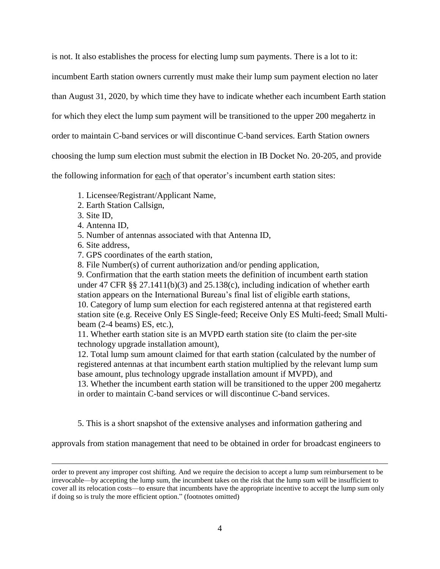is not. It also establishes the process for electing lump sum payments. There is a lot to it:

incumbent Earth station owners currently must make their lump sum payment election no later

than August 31, 2020, by which time they have to indicate whether each incumbent Earth station

for which they elect the lump sum payment will be transitioned to the upper 200 megahertz in

order to maintain C-band services or will discontinue C-band services. Earth Station owners

choosing the lump sum election must submit the election in IB Docket No. 20-205, and provide

the following information for each of that operator's incumbent earth station sites:

1. Licensee/Registrant/Applicant Name,

- 2. Earth Station Callsign,
- 3. Site ID,

 $\overline{a}$ 

- 4. Antenna ID,
- 5. Number of antennas associated with that Antenna ID,
- 6. Site address,
- 7. GPS coordinates of the earth station,
- 8. File Number(s) of current authorization and/or pending application,

9. Confirmation that the earth station meets the definition of incumbent earth station under 47 CFR §§ 27.1411(b)(3) and 25.138(c), including indication of whether earth station appears on the International Bureau's final list of eligible earth stations, 10. Category of lump sum election for each registered antenna at that registered earth station site (e.g. Receive Only ES Single-feed; Receive Only ES Multi-feed; Small Multibeam (2-4 beams) ES, etc.),

11. Whether earth station site is an MVPD earth station site (to claim the per-site technology upgrade installation amount),

12. Total lump sum amount claimed for that earth station (calculated by the number of registered antennas at that incumbent earth station multiplied by the relevant lump sum base amount, plus technology upgrade installation amount if MVPD), and

13. Whether the incumbent earth station will be transitioned to the upper 200 megahertz in order to maintain C-band services or will discontinue C-band services.

5. This is a short snapshot of the extensive analyses and information gathering and

approvals from station management that need to be obtained in order for broadcast engineers to

order to prevent any improper cost shifting. And we require the decision to accept a lump sum reimbursement to be irrevocable—by accepting the lump sum, the incumbent takes on the risk that the lump sum will be insufficient to cover all its relocation costs—to ensure that incumbents have the appropriate incentive to accept the lump sum only if doing so is truly the more efficient option." (footnotes omitted)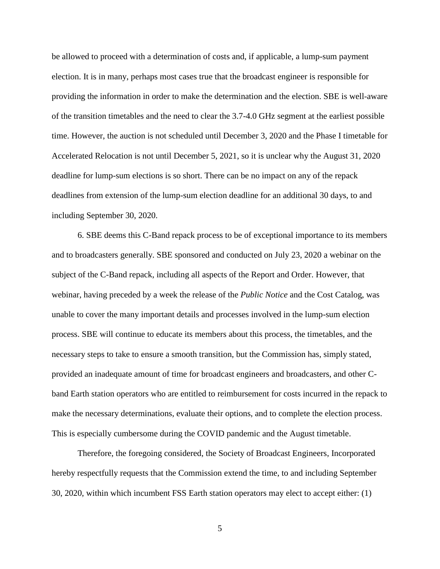be allowed to proceed with a determination of costs and, if applicable, a lump-sum payment election. It is in many, perhaps most cases true that the broadcast engineer is responsible for providing the information in order to make the determination and the election. SBE is well-aware of the transition timetables and the need to clear the 3.7-4.0 GHz segment at the earliest possible time. However, the auction is not scheduled until December 3, 2020 and the Phase I timetable for Accelerated Relocation is not until December 5, 2021, so it is unclear why the August 31, 2020 deadline for lump-sum elections is so short. There can be no impact on any of the repack deadlines from extension of the lump-sum election deadline for an additional 30 days, to and including September 30, 2020.

6. SBE deems this C-Band repack process to be of exceptional importance to its members and to broadcasters generally. SBE sponsored and conducted on July 23, 2020 a webinar on the subject of the C-Band repack, including all aspects of the Report and Order. However, that webinar, having preceded by a week the release of the *Public Notice* and the Cost Catalog, was unable to cover the many important details and processes involved in the lump-sum election process. SBE will continue to educate its members about this process, the timetables, and the necessary steps to take to ensure a smooth transition, but the Commission has, simply stated, provided an inadequate amount of time for broadcast engineers and broadcasters, and other Cband Earth station operators who are entitled to reimbursement for costs incurred in the repack to make the necessary determinations, evaluate their options, and to complete the election process. This is especially cumbersome during the COVID pandemic and the August timetable.

Therefore, the foregoing considered, the Society of Broadcast Engineers, Incorporated hereby respectfully requests that the Commission extend the time, to and including September 30, 2020, within which incumbent FSS Earth station operators may elect to accept either: (1)

5